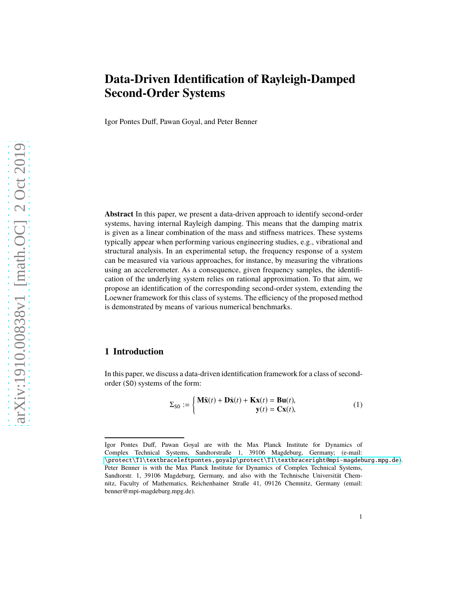# **Data-Driven Identification of Rayleigh-Damped Second-Order Systems**

Igor Pontes Duff, Pawan Goyal, and Peter Benner

**Abstract** In this paper, we present a data-driven approach to identify second-order systems, having internal Rayleigh damping. This means that the damping matrix is given as a linear combination of the mass and stiffness matrices. These systems typically appear when performing various engineering studies, e.g., vibrational and structural analysis. In an experimental setup, the frequency response of a system can be measured via various approaches, for instance, by measuring the vibrations using an accelerometer. As a consequence, given frequency samples, the identification of the underlying system relies on rational approximation. To that aim, we propose an identification of the corresponding second-order system, extending the Loewner framework for this class of systems. The efficiency of the proposed method is demonstrated by means of various numerical benchmarks.

# **1 Introduction**

In this paper, we discuss a data-driven identification framework for a class of secondorder (SO) systems of the form:

<span id="page-0-0"></span>
$$
\Sigma_{\text{SO}} := \begin{cases} \mathbf{M}\ddot{\mathbf{x}}(t) + \mathbf{D}\dot{\mathbf{x}}(t) + \mathbf{K}\mathbf{x}(t) = \mathbf{B}\mathbf{u}(t), \\ \mathbf{y}(t) = \mathbf{C}\mathbf{x}(t), \end{cases}
$$
 (1)

Igor Pontes Duff, Pawan Goyal are with the Max Planck Institute for Dynamics of Complex Technical Systems, Sandtorstraße 1, 39106 Magdeburg, Germany; (e-mail: [\protect\T1\textbraceleftpontes,goyalp\protect\T1\textbraceright@mpi-magdeburg.mpg.de](\protect \T1\textbraceleft pontes, goyalp\protect \T1\textbraceright @mpi-magdeburg.mpg.de)). Peter Benner is with the Max Planck Institute for Dynamics of Complex Technical Systems, Sandtorstr. 1, 39106 Magdeburg, Germany, and also with the Technische Universität Chemnitz, Faculty of Mathematics, Reichenhainer Straße 41, 09126 Chemnitz, Germany (email: benner@mpi-magdeburg.mpg.de).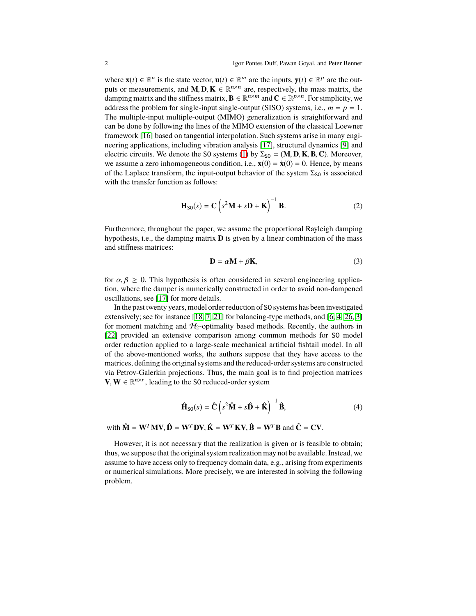where  $\mathbf{x}(t) \in \mathbb{R}^n$  is the state vector,  $\mathbf{u}(t) \in \mathbb{R}^m$  are the inputs,  $\mathbf{y}(t) \in \mathbb{R}^p$  are the outputs or measurements, and **M**, **D**, **K**  $\in \mathbb{R}^{n \times n}$  are, respectively, the mass matrix, the damping matrix and the stiffness matrix,  $\mathbf{B} \in \mathbb{R}^{n \times m}$  and  $\mathbf{C} \in \mathbb{R}^{p \times n}$ . For simplicity, we address the problem for single-input single-output (SISO) systems, i.e.,  $m = p = 1$ . The multiple-input multiple-output (MIMO) generalization is straightforward and can be done by following the lines of the MIMO extension of the classical Loewner framework [\[16\]](#page-14-0) based on tangential interpolation. Such systems arise in many engineering applications, including vibration analysis [\[17\]](#page-14-1), structural dynamics [\[9\]](#page-14-2) and electric circuits. We denote the SO systems [\(1\)](#page-0-0) by  $\Sigma_{\text{SO}} = (\mathbf{M}, \mathbf{D}, \mathbf{K}, \mathbf{B}, \mathbf{C})$ . Moreover, we assume a zero inhomogeneous condition, i.e.,  $\mathbf{x}(0) = \dot{\mathbf{x}}(0) = 0$ . Hence, by means of the Laplace transform, the input-output behavior of the system  $\Sigma_{\text{SO}}$  is associated with the transfer function as follows:

<span id="page-1-0"></span>
$$
\mathbf{H}_{\text{SO}}(s) = \mathbf{C} \left( s^2 \mathbf{M} + s \mathbf{D} + \mathbf{K} \right)^{-1} \mathbf{B}.
$$
 (2)

Furthermore, throughout the paper, we assume the proportional Rayleigh damping hypothesis, i.e., the damping matrix **D** is given by a linear combination of the mass and stiffness matrices:

$$
\mathbf{D} = \alpha \mathbf{M} + \beta \mathbf{K},\tag{3}
$$

for  $\alpha, \beta \geq 0$ . This hypothesis is often considered in several engineering application, where the damper is numerically constructed in order to avoid non-dampened oscillations, see [\[17\]](#page-14-1) for more details.

In the past twenty years, model order reduction of SO systems has been investigated extensively; see for instance [\[18,](#page-14-3) [7,](#page-14-4) [21\]](#page-15-0) for balancing-type methods, and [\[6,](#page-14-5) [4,](#page-14-6) [26,](#page-15-1) [3\]](#page-14-7) for moment matching and  $H_2$ -optimality based methods. Recently, the authors in [\[22\]](#page-15-2) provided an extensive comparison among common methods for SO model order reduction applied to a large-scale mechanical artificial fishtail model. In all of the above-mentioned works, the authors suppose that they have access to the matrices, defining the original systems and the reduced-order systems are constructed via Petrov-Galerkin projections. Thus, the main goal is to find projection matrices **V**, **W** ∈  $\mathbb{R}^{n \times r}$ , leading to the S0 reduced-order system

<span id="page-1-1"></span>
$$
\hat{\mathbf{H}}_{\text{SO}}(s) = \hat{\mathbf{C}} \left( s^2 \hat{\mathbf{M}} + s \hat{\mathbf{D}} + \hat{\mathbf{K}} \right)^{-1} \hat{\mathbf{B}},\tag{4}
$$

with  $\hat{\mathbf{M}} = \mathbf{W}^T \mathbf{M} \mathbf{V}, \hat{\mathbf{D}} = \mathbf{W}^T \mathbf{D} \mathbf{V}, \hat{\mathbf{K}} = \mathbf{W}^T \mathbf{K} \mathbf{V}, \hat{\mathbf{B}} = \mathbf{W}^T \mathbf{B}$  and  $\hat{\mathbf{C}} = \mathbf{C} \mathbf{V}$ .

However, it is not necessary that the realization is given or is feasible to obtain; thus, we suppose that the original system realization may not be available. Instead, we assume to have access only to frequency domain data, e.g., arising from experiments or numerical simulations. More precisely, we are interested in solving the following problem.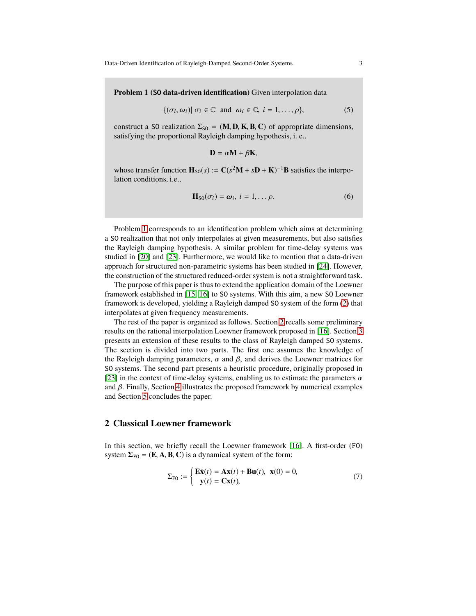Data-Driven Identification of Rayleigh-Damped Second-Order Systems 3

<span id="page-2-0"></span>**Problem 1 (**SO **data-driven identification)** Given interpolation data

$$
\{(\sigma_i, \omega_i) | \sigma_i \in \mathbb{C} \text{ and } \omega_i \in \mathbb{C}, i = 1, \ldots, \rho\},\tag{5}
$$

construct a SO realization  $\Sigma_{\text{SO}} = (\mathbf{M}, \mathbf{D}, \mathbf{K}, \mathbf{B}, \mathbf{C})$  of appropriate dimensions, satisfying the proportional Rayleigh damping hypothesis, i. e.,

$$
\mathbf{D} = \alpha \mathbf{M} + \beta \mathbf{K},
$$

whose transfer function  $\mathbf{H}_{\text{SO}}(s) := \mathbf{C}(s^2\mathbf{M} + s\mathbf{D} + \mathbf{K})^{-1}\mathbf{B}$  satisfies the interpolation conditions, i.e.,

$$
\mathbf{H}_{\text{SO}}(\sigma_i) = \boldsymbol{\omega}_i, \ i = 1, \dots \rho. \tag{6}
$$

Problem [1](#page-2-0) corresponds to an identification problem which aims at determining a SO realization that not only interpolates at given measurements, but also satisfies the Rayleigh damping hypothesis. A similar problem for time-delay systems was studied in [\[20\]](#page-14-8) and [\[23\]](#page-15-3). Furthermore, we would like to mention that a data-driven approach for structured non-parametric systems has been studied in [\[24\]](#page-15-4). However, the construction of the structured reduced-order system is not a straightforward task.

The purpose of this paper is thus to extend the application domain of the Loewner framework established in [\[15,](#page-14-9) [16\]](#page-14-0) to SO systems. With this aim, a new SO Loewner framework is developed, yielding a Rayleigh damped SO system of the form [\(2\)](#page-1-0) that interpolates at given frequency measurements.

The rest of the paper is organized as follows. Section [2](#page-2-1) recalls some preliminary results on the rational interpolation Loewner framework proposed in [\[16\]](#page-14-0). Section [3](#page-5-0) presents an extension of these results to the class of Rayleigh damped SO systems. The section is divided into two parts. The first one assumes the knowledge of the Rayleigh damping parameters,  $\alpha$  and  $\beta$ , and derives the Loewner matrices for SO systems. The second part presents a heuristic procedure, originally proposed in [\[23\]](#page-15-3) in the context of time-delay systems, enabling us to estimate the parameters  $\alpha$ and  $\beta$ . Finally, Section [4](#page-10-0) illustrates the proposed framework by numerical examples and Section [5](#page-13-0) concludes the paper.

## <span id="page-2-1"></span>**2 Classical Loewner framework**

In this section, we briefly recall the Loewner framework [\[16\]](#page-14-0). A first-order (FO) system  $\Sigma_{F0} = (E, A, B, C)$  is a dynamical system of the form:

<span id="page-2-2"></span>
$$
\Sigma_{\text{F0}} := \begin{cases} \mathbf{E}\dot{\mathbf{x}}(t) = \mathbf{A}\mathbf{x}(t) + \mathbf{B}\mathbf{u}(t), & \mathbf{x}(0) = 0, \\ \mathbf{y}(t) = \mathbf{C}\mathbf{x}(t), \end{cases}
$$
(7)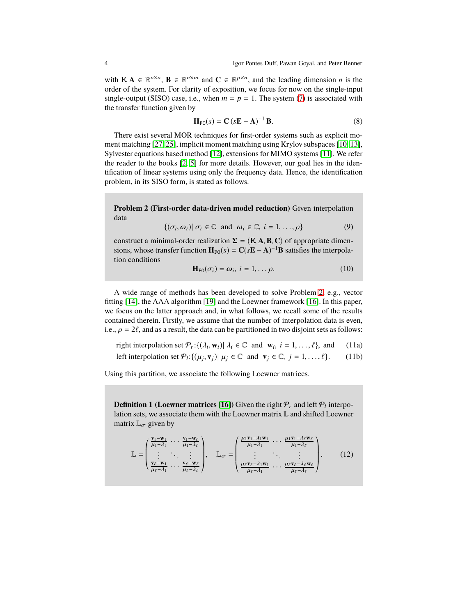with  $\mathbf{E}, \mathbf{A} \in \mathbb{R}^{n \times n}$ ,  $\mathbf{B} \in \mathbb{R}^{n \times m}$  and  $\mathbf{C} \in \mathbb{R}^{p \times n}$ , and the leading dimension *n* is the order of the system. For clarity of exposition, we focus for now on the single-input single-output (SISO) case, i.e., when  $m = p = 1$ . The system [\(7\)](#page-2-2) is associated with the transfer function given by

$$
\mathbf{H}_{\mathrm{F0}}(s) = \mathbf{C} \left( s\mathbf{E} - \mathbf{A} \right)^{-1} \mathbf{B}.
$$
 (8)

There exist several MOR techniques for first-order systems such as explicit moment matching [\[27,](#page-15-5) [25\]](#page-15-6), implicit moment matching using Krylov subspaces [\[10,](#page-14-10) [13\]](#page-14-11), Sylvester equations based method [\[12\]](#page-14-12), extensions for MIMO systems [\[11\]](#page-14-13). We refer the reader to the books [\[2,](#page-14-14) [5\]](#page-14-15) for more details. However, our goal lies in the identification of linear systems using only the frequency data. Hence, the identification problem, in its SISO form, is stated as follows.

<span id="page-3-0"></span>**Problem 2 (First-order data-driven model reduction)** Given interpolation data

$$
\{(\sigma_i, \omega_i) | \sigma_i \in \mathbb{C} \text{ and } \omega_i \in \mathbb{C}, i = 1, \ldots, \rho\}
$$
 (9)

construct a minimal-order realization  $\Sigma = (\mathbf{E}, \mathbf{A}, \mathbf{B}, \mathbf{C})$  of appropriate dimensions, whose transfer function  $\mathbf{H}_{\text{FO}}(s) = \mathbf{C}(s\mathbf{E} - \mathbf{A})^{-1}\mathbf{B}$  satisfies the interpolation conditions

<span id="page-3-4"></span><span id="page-3-3"></span><span id="page-3-1"></span>
$$
\mathbf{H}_{\mathrm{F0}}(\sigma_i) = \boldsymbol{\omega}_i, \ i = 1, \dots \rho. \tag{10}
$$

A wide range of methods has been developed to solve Problem [2,](#page-3-0) e.g., vector fitting [\[14\]](#page-14-16), the AAA algorithm [\[19\]](#page-14-17) and the Loewner framework [\[16\]](#page-14-0). In this paper, we focus on the latter approach and, in what follows, we recall some of the results contained therein. Firstly, we assume that the number of interpolation data is even, i.e.,  $\rho = 2\ell$ , and as a result, the data can be partitioned in two disjoint sets as follows:

right interpolation set  $\mathcal{P}_r$ :{ $(\lambda_i, \mathbf{w}_i) | \lambda_i \in \mathbb{C}$  and  $\mathbf{w}_i$ ,  $i = 1, ..., \ell$ }, and (11a)

left interpolation set  $\mathcal{P}_l$ : $\{(\mu_j, \mathbf{v}_j) | \mu_j \in \mathbb{C} \text{ and } \mathbf{v}_j \in \mathbb{C}, j = 1, ..., \ell\}.$  (11b)

Using this partition, we associate the following Loewner matrices.

**Definition 1 (Loewner matrices [\[16\]](#page-14-0))** Given the right  $\mathcal{P}_r$  and left  $\mathcal{P}_l$  interpolation sets, we associate them with the Loewner matrix L and shifted Loewner matrix  $\mathbb{L}_{\sigma}$  given by

<span id="page-3-2"></span>
$$
\mathbb{L} = \begin{pmatrix} \frac{\mathbf{v}_1 - \mathbf{w}_1}{\mu_1 - \lambda_1} & \cdots & \frac{\mathbf{v}_1 - \mathbf{w}_\ell}{\mu_1 - \lambda_\ell} \\ \vdots & \ddots & \vdots \\ \frac{\mathbf{v}_\ell - \mathbf{w}_1}{\mu_\ell - \lambda_1} & \cdots & \frac{\mathbf{v}_\ell - \mathbf{w}_\ell}{\mu_\ell - \lambda_\ell} \end{pmatrix}, \quad \mathbb{L}_{\sigma} = \begin{pmatrix} \frac{\mu_1 \mathbf{v}_1 - \lambda_1 \mathbf{w}_1}{\mu_1 - \lambda_1} & \cdots & \frac{\mu_1 \mathbf{v}_1 - \lambda_\ell \mathbf{w}_\ell}{\mu_1 - \lambda_\ell} \\ \vdots & \ddots & \vdots \\ \frac{\mu_\ell \mathbf{v}_\ell - \lambda_1 \mathbf{w}_1}{\mu_\ell - \lambda_1} & \cdots & \frac{\mu_\ell \mathbf{v}_\ell - \lambda_\ell \mathbf{w}_\ell}{\mu_\ell - \lambda_\ell} \end{pmatrix} . \tag{12}
$$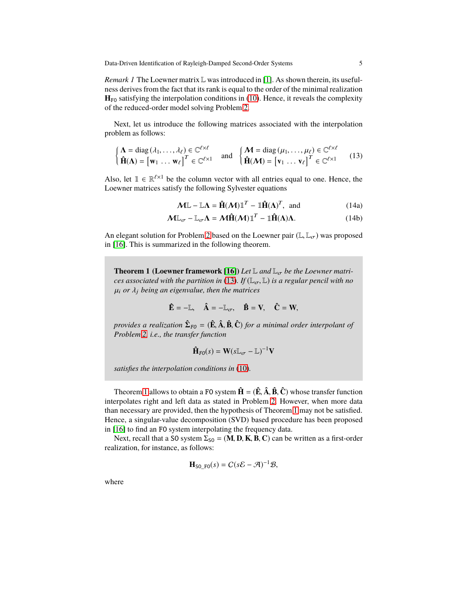*Remark 1* The Loewner matrix L was introduced in [\[1\]](#page-14-18). As shown therein, its usefulness derives from the fact that its rank is equal to the order of the minimal realization  $H_{F0}$  satisfying the interpolation conditions in [\(10\)](#page-3-1). Hence, it reveals the complexity of the reduced-order model solving Problem [2.](#page-3-0)

Next, let us introduce the following matrices associated with the interpolation problem as follows:

<span id="page-4-0"></span>
$$
\begin{cases} \mathbf{\Lambda} = \text{diag}(\lambda_1, \dots, \lambda_\ell) \in \mathbb{C}^{\ell \times \ell} \\ \hat{\mathbf{H}}(\mathbf{\Lambda}) = \begin{bmatrix} \mathbf{w}_1 & \dots & \mathbf{w}_\ell \end{bmatrix}^T \in \mathbb{C}^{\ell \times \ell} \end{cases} \text{ and } \begin{cases} \mathbf{\Lambda} = \text{diag}(\mu_1, \dots, \mu_\ell) \in \mathbb{C}^{\ell \times \ell} \\ \hat{\mathbf{H}}(\mathbf{\Lambda}) = \begin{bmatrix} \mathbf{v}_1 & \dots & \mathbf{v}_\ell \end{bmatrix}^T \in \mathbb{C}^{\ell \times 1} \end{cases} (13)
$$

Also, let  $\mathbb{1} \in \mathbb{R}^{\ell \times 1}$  be the column vector with all entries equal to one. Hence, the Loewner matrices satisfy the following Sylvester equations

<span id="page-4-2"></span>
$$
\mathbf{M}\mathbb{L} - \mathbb{L}\Lambda = \mathbf{\hat{H}}(\mathbf{M})\mathbb{1}^T - \mathbb{1}\mathbf{\hat{H}}(\Lambda)^T, \text{ and } (14a)
$$

 $M\mathbb{L}_{\sigma} - \mathbb{L}_{\sigma}\Lambda = M\hat{\mathbf{H}}(M)\mathbb{1}^{T} - \mathbb{1}\hat{\mathbf{H}}(\Lambda)\Lambda.$  (14b)

An elegant solution for Problem [2](#page-3-0) based on the Loewner pair ( $\mathbb{L}, \mathbb{L}_{\sigma}$ ) was proposed in [\[16\]](#page-14-0). This is summarized in the following theorem.

<span id="page-4-1"></span>**Theorem 1 (Loewner framework [\[16\]](#page-14-0))** *Let*  $\mathbb{L}$  *and*  $\mathbb{L}_{\sigma}$  *be the Loewner matrices associated with the partition in* [\(13\)](#page-4-0). If  $(\mathbb{L}_{\sigma}, \mathbb{L})$  *is a regular pencil with no* µ<sup>i</sup> *or* λ<sup>j</sup> *being an eigenvalue, then the matrices*

$$
\hat{\mathbf{E}} = -\mathbb{L}, \quad \hat{\mathbf{A}} = -\mathbb{L}_{\sigma}, \quad \hat{\mathbf{B}} = \mathbf{V}, \quad \hat{\mathbf{C}} = \mathbf{W},
$$

*provides a realization* Σ**ˆ** FO = (**Eˆ**, **Aˆ**, **Bˆ**, **Cˆ** ) *for a minimal order interpolant of Problem [2,](#page-3-0) i.e., the transfer function*

$$
\mathbf{\hat{H}}_{FO}(s) = \mathbf{W}(s\mathbb{L}_{\sigma} - \mathbb{L})^{-1}\mathbf{V}
$$

*satisfies the interpolation conditions in* [\(10\)](#page-3-1)*.*

Theorem [1](#page-4-1) allows to obtain a FO system  $\hat{\mathbf{H}} = (\hat{\mathbf{E}}, \hat{\mathbf{A}}, \hat{\mathbf{B}}, \hat{\mathbf{C}})$  whose transfer function interpolates right and left data as stated in Problem [2.](#page-3-0) However, when more data than necessary are provided, then the hypothesis of Theorem [1](#page-4-1) may not be satisfied. Hence, a singular-value decomposition (SVD) based procedure has been proposed in [\[16\]](#page-14-0) to find an FO system interpolating the frequency data.

Next, recall that a SO system  $\Sigma_{\text{SO}} = (\mathbf{M}, \mathbf{D}, \mathbf{K}, \mathbf{B}, \mathbf{C})$  can be written as a first-order realization, for instance, as follows:

$$
\mathbf{H}_{\text{SO\_FO}}(s) = C(s\mathcal{E} - \mathcal{A})^{-1}\mathcal{B},
$$

where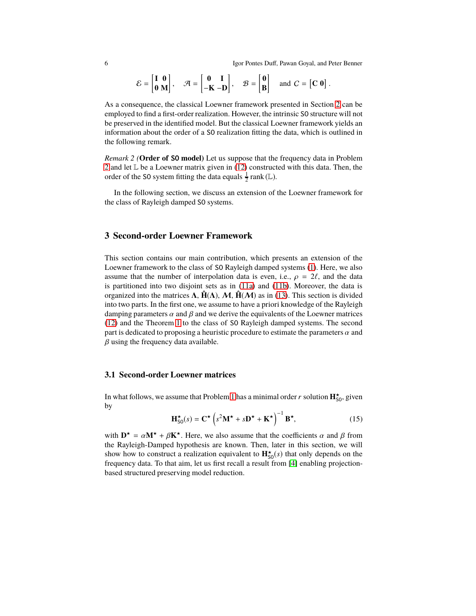6 Igor Pontes Duff, Pawan Goyal, and Peter Benner

$$
\mathcal{E} = \begin{bmatrix} \mathbf{I} & \mathbf{0} \\ \mathbf{0} & \mathbf{M} \end{bmatrix}, \quad \mathcal{A} = \begin{bmatrix} \mathbf{0} & \mathbf{I} \\ -\mathbf{K} & -\mathbf{D} \end{bmatrix}, \quad \mathcal{B} = \begin{bmatrix} \mathbf{0} \\ \mathbf{B} \end{bmatrix} \text{ and } C = \begin{bmatrix} \mathbf{C} & \mathbf{0} \end{bmatrix}.
$$

As a consequence, the classical Loewner framework presented in Section [2](#page-2-1) can be employed to find a first-order realization. However, the intrinsic SO structure will not be preserved in the identified model. But the classical Loewner framework yields an information about the order of a SO realization fitting the data, which is outlined in the following remark.

*Remark 2 (***Order of** SO **model)** Let us suppose that the frequency data in Problem [2](#page-3-0) and let L be a Loewner matrix given in [\(12\)](#page-3-2) constructed with this data. Then, the order of the S0 system fitting the data equals  $\frac{1}{2}$  rank (L).

In the following section, we discuss an extension of the Loewner framework for the class of Rayleigh damped SO systems.

# <span id="page-5-0"></span>**3 Second-order Loewner Framework**

This section contains our main contribution, which presents an extension of the Loewner framework to the class of SO Rayleigh damped systems [\(1\)](#page-0-0). Here, we also assume that the number of interpolation data is even, i.e.,  $\rho = 2\ell$ , and the data is partitioned into two disjoint sets as in [\(11a\)](#page-3-3) and [\(11b\)](#page-3-4). Moreover, the data is organized into the matrices  $\Lambda$ ,  $\hat{H}(\Lambda)$ ,  $\mathcal{M}$ ,  $\hat{H}(\mathcal{M})$  as in [\(13\)](#page-4-0). This section is divided into two parts. In the first one, we assume to have a priori knowledge of the Rayleigh damping parameters  $\alpha$  and  $\beta$  and we derive the equivalents of the Loewner matrices [\(12\)](#page-3-2) and the Theorem [1](#page-4-1) to the class of SO Rayleigh damped systems. The second part is dedicated to proposing a heuristic procedure to estimate the parameters  $\alpha$  and  $\beta$  using the frequency data available.

#### **3.1 Second-order Loewner matrices**

In what follows, we assume that Problem [1](#page-2-0) has a minimal order  $r$  solution  $\mathbf{H}^\star_{\text{SO}}$ , given by

<span id="page-5-1"></span>
$$
\mathbf{H}_{\text{SO}}^{\star}(s) = \mathbf{C}^{\star} \left( s^2 \mathbf{M}^{\star} + s \mathbf{D}^{\star} + \mathbf{K}^{\star} \right)^{-1} \mathbf{B}^{\star},\tag{15}
$$

with  $\mathbf{D}^* = \alpha \mathbf{M}^* + \beta \mathbf{K}^*$ . Here, we also assume that the coefficients  $\alpha$  and  $\beta$  from the Rayleigh-Damped hypothesis are known. Then, later in this section, we will show how to construct a realization equivalent to  $\mathbf{H}_{\text{SO}}^{\star}(s)$  that only depends on the frequency data. To that aim, let us first recall a result from [\[4\]](#page-14-6) enabling projectionbased structured preserving model reduction.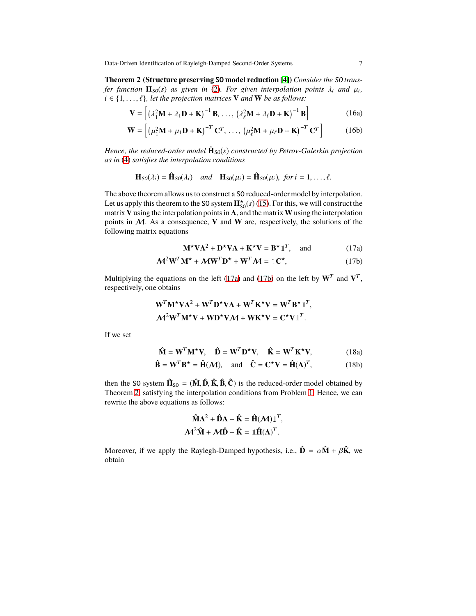<span id="page-6-2"></span>Data-Driven Identification of Rayleigh-Damped Second-Order Systems 7

**Theorem 2 (Structure preserving** SO **model reduction [\[4\]](#page-14-6))** *Consider the* SO *transfer function*  $\mathbf{H}_{\text{SO}}(s)$  *as given in* [\(2\)](#page-1-0)*. For given interpolation points*  $\lambda_i$  *and*  $\mu_i$ *,*  $i \in \{1, \ldots, \ell\}$ , let the projection matrices **V** and **W** be as follows:

$$
\mathbf{V} = \left[ \left( \lambda_1^2 \mathbf{M} + \lambda_1 \mathbf{D} + \mathbf{K} \right)^{-1} \mathbf{B}, \dots, \left( \lambda_\ell^2 \mathbf{M} + \lambda_\ell \mathbf{D} + \mathbf{K} \right)^{-1} \mathbf{B} \right]
$$
(16a)

$$
\mathbf{W} = \left[ \left( \mu_1^2 \mathbf{M} + \mu_1 \mathbf{D} + \mathbf{K} \right)^{-T} \mathbf{C}^T, \dots, \left( \mu_\ell^2 \mathbf{M} + \mu_\ell \mathbf{D} + \mathbf{K} \right)^{-T} \mathbf{C}^T \right] \tag{16b}
$$

*Hence, the reduced-order model*  $\hat{H}_{SO}(s)$  *constructed by Petrov-Galerkin projection as in* [\(4\)](#page-1-1) *satisfies the interpolation conditions*

$$
\mathbf{H}_{\text{SO}}(\lambda_i) = \hat{\mathbf{H}}_{\text{SO}}(\lambda_i) \quad \text{and} \quad \mathbf{H}_{\text{SO}}(\mu_i) = \hat{\mathbf{H}}_{\text{SO}}(\mu_i), \text{ for } i = 1, \ldots, \ell.
$$

The above theorem allows us to construct a SO reduced-order model by interpolation. Let us apply this theorem to the S0 system  $\mathbf{H}^{\star}_{\text{SO}}(s)$  [\(15\)](#page-5-1). For this, we will construct the matrix **V** using the interpolation points in  $\Lambda$ , and the matrix **W** using the interpolation points in M. As a consequence, **V** and **W** are, respectively, the solutions of the following matrix equations

<span id="page-6-1"></span><span id="page-6-0"></span>
$$
\mathbf{M}^{\star}\mathbf{V}\mathbf{\Lambda}^{2} + \mathbf{D}^{\star}\mathbf{V}\mathbf{\Lambda} + \mathbf{K}^{\star}\mathbf{V} = \mathbf{B}^{\star}\mathbb{1}^{T}, \text{ and } (17a)
$$

$$
\mathcal{M}^2 \mathbf{W}^T \mathbf{M}^{\star} + \mathcal{M} \mathbf{W}^T \mathbf{D}^{\star} + \mathbf{W}^T \mathcal{M} = \mathbb{1} \mathbf{C}^{\star}, \tag{17b}
$$

Multiplying the equations on the left [\(17a\)](#page-6-0) and [\(17b\)](#page-6-1) on the left by  $W<sup>T</sup>$  and  $V<sup>T</sup>$ , respectively, one obtains

$$
\mathbf{W}^T \mathbf{M}^* \mathbf{V} \mathbf{\Lambda}^2 + \mathbf{W}^T \mathbf{D}^* \mathbf{V} \mathbf{\Lambda} + \mathbf{W}^T \mathbf{K}^* \mathbf{V} = \mathbf{W}^T \mathbf{B}^* \mathbb{I}^T,
$$
  

$$
\mathbf{M}^2 \mathbf{W}^T \mathbf{M}^* \mathbf{V} + \mathbf{W} \mathbf{D}^* \mathbf{V} \mathbf{M} + \mathbf{W} \mathbf{K}^* \mathbf{V} = \mathbf{C}^* \mathbf{V} \mathbb{I}^T.
$$

If we set

$$
\hat{\mathbf{M}} = \mathbf{W}^T \mathbf{M}^{\star} \mathbf{V}, \quad \hat{\mathbf{D}} = \mathbf{W}^T \mathbf{D}^{\star} \mathbf{V}, \quad \hat{\mathbf{K}} = \mathbf{W}^T \mathbf{K}^{\star} \mathbf{V}, \tag{18a}
$$

$$
\hat{\mathbf{B}} = \mathbf{W}^T \mathbf{B}^{\star} = \hat{\mathbf{H}}(\mathcal{M}), \text{ and } \hat{\mathbf{C}} = \mathbf{C}^{\star} \mathbf{V} = \hat{\mathbf{H}}(\mathbf{\Lambda})^T,
$$
 (18b)

then the S0 system  $\mathbf{\hat{H}}_{\text{SO}} = (\mathbf{\hat{M}}, \mathbf{\hat{D}}, \mathbf{\hat{K}}, \mathbf{\hat{B}}, \mathbf{\hat{C}})$  is the reduced-order model obtained by Theorem [2,](#page-6-2) satisfying the interpolation conditions from Problem [1.](#page-2-0) Hence, we can rewrite the above equations as follows:

$$
\hat{\mathbf{M}}\Lambda^2 + \hat{\mathbf{D}}\Lambda + \hat{\mathbf{K}} = \hat{\mathbf{H}}(\mathcal{M})\mathbb{1}^T,
$$
  

$$
\mathcal{M}^2\hat{\mathbf{M}} + \mathcal{M}\hat{\mathbf{D}} + \hat{\mathbf{K}} = \mathbb{1}\hat{\mathbf{H}}(\Lambda)^T.
$$

Moreover, if we apply the Raylegh-Damped hypothesis, i.e.,  $\hat{\mathbf{D}} = \alpha \hat{\mathbf{M}} + \beta \hat{\mathbf{K}}$ , we obtain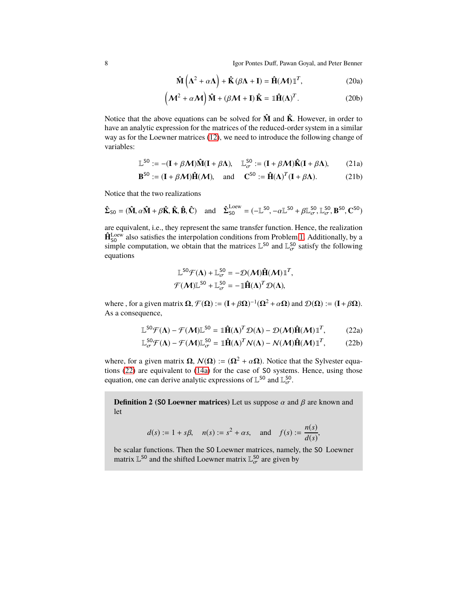8 Igor Pontes Duff, Pawan Goyal, and Peter Benner

$$
\hat{\mathbf{M}}\left(\mathbf{\Lambda}^2 + \alpha \mathbf{\Lambda}\right) + \hat{\mathbf{K}}\left(\beta \mathbf{\Lambda} + \mathbf{I}\right) = \hat{\mathbf{H}}(\mathbf{\mathcal{M}})\mathbb{1}^T, \tag{20a}
$$

$$
\left(\mathcal{M}^2 + \alpha \mathcal{M}\right) \hat{\mathbf{M}} + \left(\beta \mathcal{M} + \mathbf{I}\right) \hat{\mathbf{K}} = \mathbb{1} \hat{\mathbf{H}} (\mathbf{\Lambda})^T.
$$
 (20b)

Notice that the above equations can be solved for  $\hat{M}$  and  $\hat{K}$ . However, in order to have an analytic expression for the matrices of the reduced-order system in a similar way as for the Loewner matrices [\(12\)](#page-3-2), we need to introduce the following change of variables:

$$
\mathbb{L}^{SO} := -(\mathbf{I} + \beta \mathcal{M})\hat{\mathbf{M}}(\mathbf{I} + \beta \Lambda), \quad \mathbb{L}_{\sigma}^{SO} := (\mathbf{I} + \beta \mathcal{M})\hat{\mathbf{K}}(\mathbf{I} + \beta \Lambda), \tag{21a}
$$

$$
\mathbf{B}^{\text{SO}} := (\mathbf{I} + \beta \mathcal{M}) \hat{\mathbf{H}}(\mathcal{M}), \quad \text{and} \quad \mathbf{C}^{\text{SO}} := \hat{\mathbf{H}}(\mathbf{\Lambda})^T (\mathbf{I} + \beta \mathbf{\Lambda}). \tag{21b}
$$

Notice that the two realizations

$$
\hat{\Sigma}_{\text{SO}} = (\hat{\mathbf{M}}, \alpha \hat{\mathbf{M}} + \beta \hat{\mathbf{K}}, \hat{\mathbf{K}}, \hat{\mathbf{B}}, \hat{\mathbf{C}}) \quad \text{and} \quad \hat{\Sigma}_{\text{SO}}^{\text{Low}} = (-\mathbb{L}^{\text{SO}}, -\alpha \mathbb{L}^{\text{SO}} + \beta \mathbb{L}_{\sigma}^{\text{SO}}, \mathbb{L}_{\sigma}^{\text{SO}}, \mathbf{B}^{\text{SO}}, \mathbf{C}^{\text{SO}})
$$

are equivalent, i.e., they represent the same transfer function. Hence, the realization  $\hat{H}_{\text{SO}}^{\text{Loew}}$  also satisfies the interpolation conditions from Problem [1.](#page-2-0) Additionally, by a simple computation, we obtain that the matrices  $\mathbb{L}^{SO}$  and  $\mathbb{L}^{SO}_{\sigma}$  satisfy the following equations

$$
\mathbb{L}^{SO} \mathcal{F}(\Lambda) + \mathbb{L}_{\sigma}^{SO} = -\mathcal{D}(\mathcal{M}) \hat{H}(\mathcal{M}) \mathbb{I}^{T},
$$
  

$$
\mathcal{F}(\mathcal{M}) \mathbb{L}^{SO} + \mathbb{L}_{\sigma}^{SO} = -\mathbb{I} \hat{H}(\Lambda)^{T} \mathcal{D}(\Lambda),
$$

where , for a given matrix  $\Omega$ ,  $\mathcal{F}(\Omega) := (\mathbf{I} + \beta \Omega)^{-1} (\Omega^2 + \alpha \Omega)$  and  $\mathcal{D}(\Omega) := (\mathbf{I} + \beta \Omega)$ . As a consequence,

<span id="page-7-0"></span>
$$
\mathbb{L}^{SO} \mathcal{F}(\Lambda) - \mathcal{F}(\mathcal{M}) \mathbb{L}^{SO} = \mathbb{1} \hat{\mathbf{H}}(\Lambda)^{T} \mathcal{D}(\Lambda) - \mathcal{D}(\mathcal{M}) \hat{\mathbf{H}}(\mathcal{M}) \mathbb{1}^{T},
$$
 (22a)

$$
\mathbb{L}_{\sigma}^{SO} \mathcal{F}(\Lambda) - \mathcal{F}(\mathcal{M}) \mathbb{L}_{\sigma}^{SO} = \mathbb{1}\hat{\mathbf{H}}(\Lambda)^{T} \mathcal{N}(\Lambda) - \mathcal{N}(\mathcal{M}) \hat{\mathbf{H}}(\mathcal{M}) \mathbb{1}^{T},
$$
 (22b)

where, for a given matrix  $\Omega$ ,  $\mathcal{N}(\Omega) := (\Omega^2 + \alpha \Omega)$ . Notice that the Sylvester equations [\(22\)](#page-7-0) are equivalent to [\(14a\)](#page-4-2) for the case of SO systems. Hence, using those equation, one can derive analytic expressions of  $\mathbb{L}^{50}$  and  $\mathbb{L}^{50}_{\sigma}$ .

**Definition 2 (SO Loewner matrices)** Let us suppose  $\alpha$  and  $\beta$  are known and let

$$
d(s) := 1 + s\beta, \quad n(s) := s^2 + \alpha s, \quad \text{and} \quad f(s) := \frac{n(s)}{d(s)},
$$

be scalar functions. Then the SO Loewner matrices, namely, the SO Loewner matrix  $\mathbb{L}^{\text{SO}}$  and the shifted Loewner matrix  $\mathbb{L}^{\text{SO}}_{\sigma}$  are given by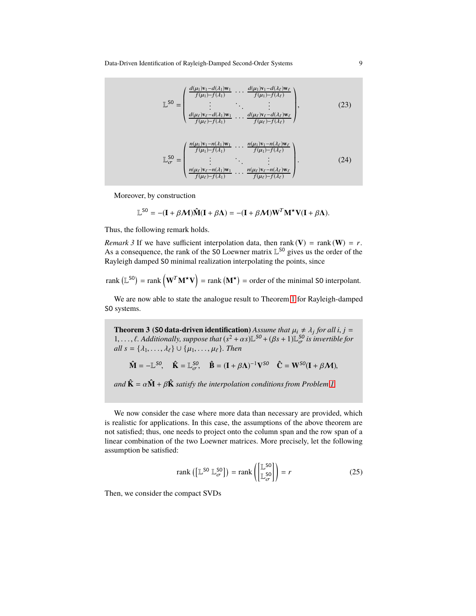Data-Driven Identification of Rayleigh-Damped Second-Order Systems 9

<span id="page-8-1"></span>
$$
\mathbb{L}^{\text{SO}} = \begin{pmatrix} \frac{d(\mu_1)\mathbf{v}_1 - d(\lambda_1)\mathbf{w}_1}{f(\mu_1) - f(\lambda_1)} & \cdots & \frac{d(\mu_1)\mathbf{v}_1 - d(\lambda_\ell)\mathbf{w}_\ell}{f(\mu_1) - f(\lambda_\ell)} \\ \vdots & \ddots & \vdots \\ \frac{d(\mu_\ell)\mathbf{v}_\ell - d(\lambda_1)\mathbf{w}_1}{f(\mu_\ell) - f(\lambda_1)} & \cdots & \frac{d(\mu_\ell)\mathbf{v}_\ell - d(\lambda_\ell)\mathbf{w}_\ell}{f(\mu_\ell) - f(\lambda_\ell)} \end{pmatrix},
$$
(23)  

$$
\mathbb{L}_{\sigma}^{\text{SO}} = \begin{pmatrix} \frac{n(\mu_1)\mathbf{v}_1 - n(\lambda_1)\mathbf{w}_1}{f(\mu_1) - f(\lambda_1)} & \cdots & \frac{n(\mu_1)\mathbf{v}_1 - n(\lambda_\ell)\mathbf{w}_\ell}{f(\mu_1) - f(\lambda_\ell)} \\ \vdots & \ddots & \vdots \\ \frac{n(\mu_\ell)\mathbf{v}_\ell - n(\lambda_1)\mathbf{w}_1}{f(\mu_\ell) - f(\lambda_1)} & \cdots & \frac{n(\mu_\ell)\mathbf{v}_\ell - n(\lambda_\ell)\mathbf{w}_\ell}{f(\mu_\ell) - f(\lambda_\ell)} \end{pmatrix}.
$$
(24)

Moreover, by construction

$$
\mathbb{L}^{SO} = -(\mathbf{I} + \beta \mathcal{M})\hat{\mathbf{M}}(\mathbf{I} + \beta \mathbf{\Lambda}) = -(\mathbf{I} + \beta \mathcal{M})\mathbf{W}^T\mathbf{M}^{\star}\mathbf{V}(\mathbf{I} + \beta \mathbf{\Lambda}).
$$

Thus, the following remark holds.

*Remark 3* If we have sufficient interpolation data, then rank  $(V) = \text{rank}(W) = r$ . As a consequence, the rank of the SO Loewner matrix  $\mathbb{L}^{50}$  gives us the order of the Rayleigh damped SO minimal realization interpolating the points, since

rank 
$$
(\mathbb{L}^{S0})
$$
 = rank  $(\mathbf{W}^T \mathbf{M}^* \mathbf{V})$  = rank  $(\mathbf{M}^*)$  = order of the minimal SO interpolant.

We are now able to state the analogue result to Theorem [1](#page-4-1) for Rayleigh-damped SO systems.

**Theorem 3 (SO data-driven identification)** Assume that  $\mu_i \neq \lambda_j$  for all  $i, j =$ 1, ...,  $\ell$ . Additionally, suppose that  $(s^2 + \alpha s)\mathbb{L}^{SO} + (\beta s + 1)\mathbb{L}_{\sigma}^{SO}$  is invertible for  $all s = \{\lambda_1, \ldots, \lambda_\ell\} \cup \{\mu_1, \ldots, \mu_\ell\}.$  Then

$$
\hat{\mathbf{M}} = -\mathbb{L}^{SO}, \quad \hat{\mathbf{K}} = \mathbb{L}_{\sigma}^{SO}, \quad \hat{\mathbf{B}} = (\mathbf{I} + \beta \Lambda)^{-1} \mathbf{V}^{SO} \quad \hat{\mathbf{C}} = \mathbf{W}^{SO} (\mathbf{I} + \beta \mathcal{M}),
$$

*and*  $\hat{\mathbf{K}} = \alpha \hat{\mathbf{M}} + \beta \hat{\mathbf{K}}$  *satisfy the interpolation conditions from Problem [1.](#page-2-0)* 

We now consider the case where more data than necessary are provided, which is realistic for applications. In this case, the assumptions of the above theorem are not satisfied; thus, one needs to project onto the column span and the row span of a linear combination of the two Loewner matrices. More precisely, let the following assumption be satisfied:

<span id="page-8-0"></span>
$$
rank([L^{SO} \ L_{\sigma}^{SO}]) = rank \left( \begin{bmatrix} L^{SO} \\ L_{\sigma}^{SO} \end{bmatrix} \right) = r
$$
 (25)

Then, we consider the compact SVDs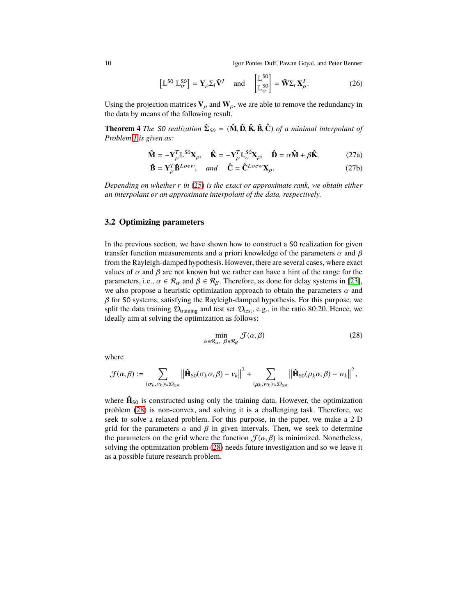10 Igor Pontes Duff, Pawan Goyal, and Peter Benner

$$
\left[\mathbb{L}^{SO} \ \mathbb{L}^{SO}_{\sigma}\right] = \mathbf{Y}_{\rho} \Sigma_l \tilde{\mathbf{V}}^T \quad \text{and} \quad \left[\mathbb{L}^{SO}_{\sigma}\right] = \tilde{\mathbf{W}} \Sigma_r \mathbf{X}_{\rho}^T. \tag{26}
$$

Using the projection matrices  $V_\rho$  and  $W_\rho$ , we are able to remove the redundancy in the data by means of the following result.

**Theorem 4** *The* SO *realization*  $\hat{\Sigma}_{SO} = (\hat{\mathbf{M}}, \hat{\mathbf{D}}, \hat{\mathbf{K}}, \hat{\mathbf{B}}, \hat{\mathbf{C}})$  *of a minimal interpolant of Problem [1](#page-2-0) is given as:*

$$
\hat{\mathbf{M}} = -\mathbf{Y}_{\rho}^{T} \mathbb{L}^{SO} \mathbf{X}_{\rho}, \quad \hat{\mathbf{K}} = -\mathbf{Y}_{\rho}^{T} \mathbb{L}_{\sigma}^{SO} \mathbf{X}_{\rho}, \quad \hat{\mathbf{D}} = \alpha \hat{\mathbf{M}} + \beta \hat{\mathbf{K}},
$$
 (27a)

$$
\hat{\mathbf{B}} = \mathbf{Y}_{\rho}^{T} \hat{\mathbf{B}}^{Loew}, \quad and \quad \hat{\mathbf{C}} = \hat{\mathbf{C}}^{Loew} \mathbf{X}_{\rho}.
$$
 (27b)

*Depending on whether r in* [\(25\)](#page-8-0) *is the exact or approximate rank, we obtain either an interpolant or an approximate interpolant of the data, respectively.*

### <span id="page-9-1"></span>**3.2 Optimizing parameters**

In the previous section, we have shown how to construct a SO realization for given transfer function measurements and a priori knowledge of the parameters  $\alpha$  and  $\beta$ from the Rayleigh-damped hypothesis. However, there are several cases, where exact values of  $\alpha$  and  $\beta$  are not known but we rather can have a hint of the range for the parameters, i.e.,  $\alpha \in \mathcal{R}_{\alpha}$  and  $\beta \in \mathcal{R}_{\beta}$ . Therefore, as done for delay systems in [\[23\]](#page-15-3), we also propose a heuristic optimization approach to obtain the parameters  $\alpha$  and  $\beta$  for SO systems, satisfying the Rayleigh-damped hypothesis. For this purpose, we split the data training  $\mathcal{D}_{\text{training}}$  and test set  $\mathcal{D}_{\text{test}}$ , e.g., in the ratio 80:20. Hence, we ideally aim at solving the optimization as follows:

<span id="page-9-0"></span>
$$
\min_{\alpha \in \mathcal{R}_{\alpha}, \ \beta \in \mathcal{R}_{\beta}} \mathcal{J}(\alpha, \beta) \tag{28}
$$

where

$$
\mathcal{J}(\alpha,\beta):=\sum_{(\sigma_k,v_k)\in\mathcal{D}_{\text{test}}}\left\|\hat{\mathbf{H}}_{\text{SO}}(\sigma_k\alpha,\beta)-v_k\right\|^2+\sum_{(\mu_k,w_k)\in\mathcal{D}_{\text{test}}}\left\|\hat{\mathbf{H}}_{\text{SO}}(\mu_k\alpha,\beta)-w_k\right\|^2,
$$

where  $\hat{H}_{\text{SO}}$  is constructed using only the training data. However, the optimization problem [\(28\)](#page-9-0) is non-convex, and solving it is a challenging task. Therefore, we seek to solve a relaxed problem. For this purpose, in the paper, we make a 2-D grid for the parameters  $\alpha$  and  $\beta$  in given intervals. Then, we seek to determine the parameters on the grid where the function  $\mathcal{J}(\alpha,\beta)$  is minimized. Nonetheless, solving the optimization problem [\(28\)](#page-9-0) needs future investigation and so we leave it as a possible future research problem.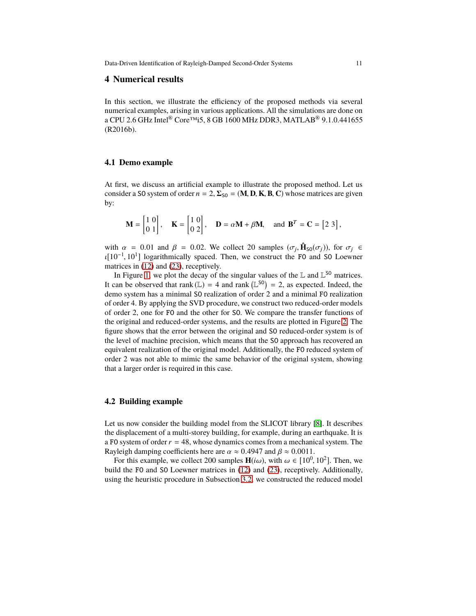## <span id="page-10-0"></span>**4 Numerical results**

In this section, we illustrate the efficiency of the proposed methods via several numerical examples, arising in various applications. All the simulations are done on a CPU 2.6 GHz Intel® Core™i5, 8 GB 1600 MHz DDR3, MATLAB® 9.1.0.441655 (R2016b).

#### **4.1 Demo example**

At first, we discuss an artificial example to illustrate the proposed method. Let us consider a SO system of order  $n = 2$ ,  $\Sigma_{\text{SO}} = (\mathbf{M}, \mathbf{D}, \mathbf{K}, \mathbf{B}, \mathbf{C})$  whose matrices are given by:

$$
\mathbf{M} = \begin{bmatrix} 1 & 0 \\ 0 & 1 \end{bmatrix}, \quad \mathbf{K} = \begin{bmatrix} 1 & 0 \\ 0 & 2 \end{bmatrix}, \quad \mathbf{D} = \alpha \mathbf{M} + \beta \mathbf{M}, \quad \text{and } \mathbf{B}^T = \mathbf{C} = \begin{bmatrix} 2 & 3 \end{bmatrix},
$$

with  $\alpha = 0.01$  and  $\beta = 0.02$ . We collect 20 samples  $(\sigma_j, \hat{\mathbf{H}}_{\text{SO}}(\sigma_j))$ , for  $\sigma_j \in$ ι[10−<sup>1</sup> , 10<sup>1</sup> ] logarithmically spaced. Then, we construct the FO and SO Loewner matrices in [\(12\)](#page-3-2) and [\(23\)](#page-8-1), receptively.

In Figure [1,](#page-11-0) we plot the decay of the singular values of the  $\mathbb L$  and  $\mathbb L^{SO}$  matrices. It can be observed that rank  $(L) = 4$  and rank  $(L^{S0}) = 2$ , as expected. Indeed, the demo system has a minimal SO realization of order 2 and a minimal FO realization of order 4. By applying the SVD procedure, we construct two reduced-order models of order 2, one for FO and the other for SO. We compare the transfer functions of the original and reduced-order systems, and the results are plotted in Figure [2.](#page-11-1) The figure shows that the error between the original and SO reduced-order system is of the level of machine precision, which means that the SO approach has recovered an equivalent realization of the original model. Additionally, the FO reduced system of order 2 was not able to mimic the same behavior of the original system, showing that a larger order is required in this case.

### **4.2 Building example**

Let us now consider the building model from the SLICOT library [\[8\]](#page-14-19). It describes the displacement of a multi-storey building, for example, during an earthquake. It is a FO system of order*r* = 48, whose dynamics comes from a mechanical system. The Rayleigh damping coefficients here are  $\alpha \approx 0.4947$  and  $\beta \approx 0.0011$ .

For this example, we collect 200 samples  $H(i\omega)$ , with  $\omega \in [10^0, 10^2]$ . Then, we build the FO and SO Loewner matrices in [\(12\)](#page-3-2) and [\(23\)](#page-8-1), receptively. Additionally, using the heuristic procedure in Subsection [3.2,](#page-9-1) we constructed the reduced model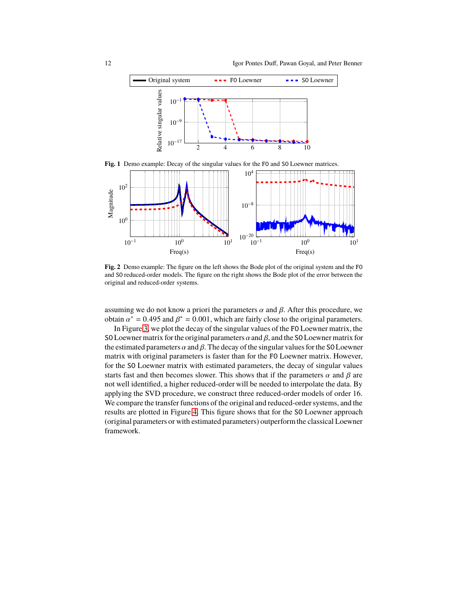

**Fig. 1** Demo example: Decay of the singular values for the FO and SO Loewner matrices.

<span id="page-11-0"></span>

<span id="page-11-1"></span>**Fig. 2** Demo example: The figure on the left shows the Bode plot of the original system and the FO and SO reduced-order models. The figure on the right shows the Bode plot of the error between the original and reduced-order systems.

assuming we do not know a priori the parameters  $\alpha$  and  $\beta$ . After this procedure, we obtain  $\alpha^* = 0.495$  and  $\beta^* = 0.001$ , which are fairly close to the original parameters.

In Figure [3,](#page-12-0) we plot the decay of the singular values of the FO Loewner matrix, the SO Loewner matrix for the original parameters  $\alpha$  and  $\beta$ , and the SO Loewner matrix for the estimated parameters  $\alpha$  and  $\beta$ . The decay of the singular values for the SO Loewner matrix with original parameters is faster than for the FO Loewner matrix. However, for the SO Loewner matrix with estimated parameters, the decay of singular values starts fast and then becomes slower. This shows that if the parameters  $\alpha$  and  $\beta$  are not well identified, a higher reduced-order will be needed to interpolate the data. By applying the SVD procedure, we construct three reduced-order models of order 16. We compare the transfer functions of the original and reduced-order systems, and the results are plotted in Figure [4.](#page-12-1) This figure shows that for the SO Loewner approach (original parameters or with estimated parameters) outperformthe classical Loewner framework.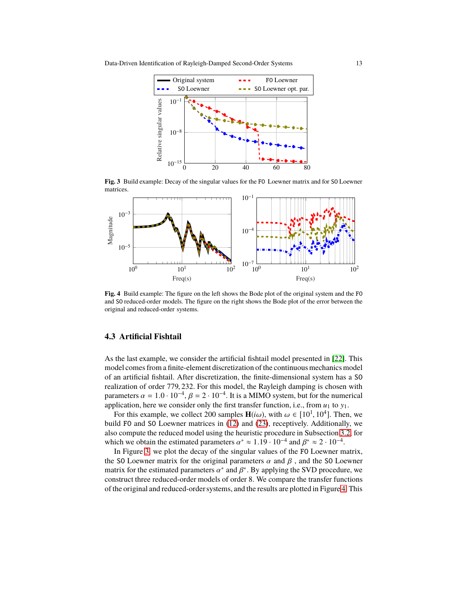

<span id="page-12-0"></span>**Fig. 3** Build example: Decay of the singular values for the FO Loewner matrix and for SO Loewner matrices.



<span id="page-12-1"></span>**Fig. 4** Build example: The figure on the left shows the Bode plot of the original system and the FO and SO reduced-order models. The figure on the right shows the Bode plot of the error between the original and reduced-order systems.

#### **4.3 Artificial Fishtail**

As the last example, we consider the artificial fishtail model presented in [\[22\]](#page-15-2). This model comes from a finite-element discretization of the continuous mechanics model of an artificial fishtail. After discretization, the finite-dimensional system has a SO realization of order 779, 232. For this model, the Rayleigh damping is chosen with parameters  $\alpha = 1.0 \cdot 10^{-4}$ ,  $\beta = 2 \cdot 10^{-4}$ . It is a MIMO system, but for the numerical application, here we consider only the first transfer function, i.e., from  $u_1$  to  $y_1$ .

For this example, we collect 200 samples  $H(i\omega)$ , with  $\omega \in [10^1, 10^4]$ . Then, we build FO and SO Loewner matrices in [\(12\)](#page-3-2) and [\(23\)](#page-8-1), receptively. Additionally, we also compute the reduced model using the heuristic procedure in Subsection [3.2,](#page-9-1) for which we obtain the estimated parameters  $\alpha^* \approx 1.19 \cdot 10^{-4}$  and  $\beta^* \approx 2 \cdot 10^{-4}$ .

In Figure [3,](#page-12-0) we plot the decay of the singular values of the FO Loewner matrix, the SO Loewner matrix for the original parameters  $\alpha$  and  $\beta$ , and the SO Loewner matrix for the estimated parameters  $\alpha^*$  and  $\beta^*$ . By applying the SVD procedure, we construct three reduced-order models of order 8. We compare the transfer functions of the original and reduced-order systems, and the results are plotted in Figure [4.](#page-12-1) This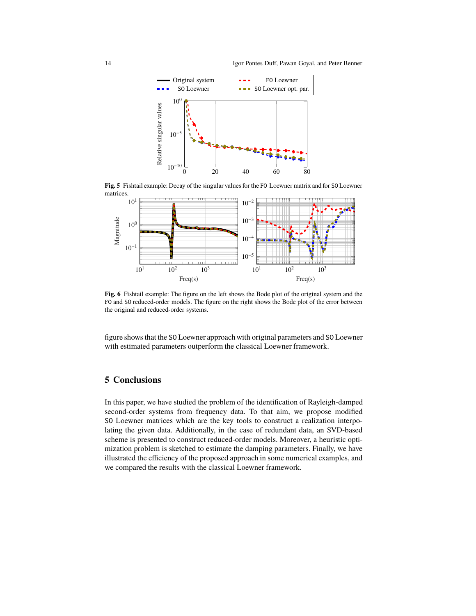

**Fig. 5** Fishtail example: Decay of the singular values for the FO Loewner matrix and for SO Loewner matrices.



**Fig. 6** Fishtail example: The figure on the left shows the Bode plot of the original system and the FO and SO reduced-order models. The figure on the right shows the Bode plot of the error between the original and reduced-order systems.

figure shows that the SO Loewner approach with original parameters and SO Loewner with estimated parameters outperform the classical Loewner framework.

# <span id="page-13-0"></span>**5 Conclusions**

In this paper, we have studied the problem of the identification of Rayleigh-damped second-order systems from frequency data. To that aim, we propose modified SO Loewner matrices which are the key tools to construct a realization interpolating the given data. Additionally, in the case of redundant data, an SVD-based scheme is presented to construct reduced-order models. Moreover, a heuristic optimization problem is sketched to estimate the damping parameters. Finally, we have illustrated the efficiency of the proposed approach in some numerical examples, and we compared the results with the classical Loewner framework.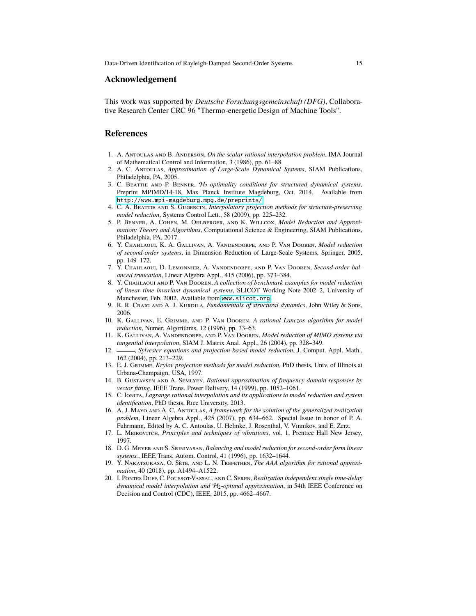#### **Acknowledgement**

This work was supported by *Deutsche Forschungsgemeinschaft (DFG)*, Collaborative Research Center CRC 96 "Thermo-energetic Design of Machine Tools".

## **References**

- <span id="page-14-18"></span>1. A. Antoulas and B. Anderson, *On the scalar rational interpolation problem*, IMA Journal of Mathematical Control and Information, 3 (1986), pp. 61–88.
- <span id="page-14-14"></span>2. A. C. Antoulas, *Approximation of Large-Scale Dynamical Systems*, SIAM Publications, Philadelphia, PA, 2005.
- <span id="page-14-7"></span>3. C. Beattie and P. Benner, H2*-optimality conditions for structured dynamical systems*, Preprint MPIMD/14-18, Max Planck Institute Magdeburg, Oct. 2014. Available from <http://www.mpi-magdeburg.mpg.de/preprints/>.
- <span id="page-14-6"></span>4. C. A. Beattie and S. Gugercin, *Interpolatory projection methods for structure-preserving model reduction*, Systems Control Lett., 58 (2009), pp. 225–232.
- <span id="page-14-15"></span>5. P. Benner, A. Cohen, M. Ohlberger, and K. Willcox, *Model Reduction and Approximation: Theory and Algorithms*, Computational Science & Engineering, SIAM Publications, Philadelphia, PA, 2017.
- <span id="page-14-5"></span>6. Y. Chahlaoui, K. A. Gallivan, A. Vandendorpe, and P. Van Dooren, *Model reduction of second-order systems*, in Dimension Reduction of Large-Scale Systems, Springer, 2005, pp. 149–172.
- <span id="page-14-4"></span>7. Y. Chahlaoui, D. Lemonnier, A. Vandendorpe, and P. Van Dooren, *Second-order balanced truncation*, Linear Algebra Appl., 415 (2006), pp. 373–384.
- <span id="page-14-19"></span>8. Y. Chahlaoui and P. Van Dooren, *A collection of benchmark examples for model reduction of linear time invariant dynamical systems*, SLICOT Working Note 2002–2, University of Manchester, Feb. 2002. Available from <www.slicot.org>.
- <span id="page-14-2"></span>9. R. R. CRAIG AND A. J. KURDILA, *Fundamentals of structural dynamics*, John Wiley & Sons, 2006.
- <span id="page-14-10"></span>10. K. Gallivan, E. Grimme, and P. Van Dooren, *A rational Lanczos algorithm for model reduction*, Numer. Algorithms, 12 (1996), pp. 33–63.
- <span id="page-14-13"></span>11. K. Gallivan, A. Vandendorpe, and P. Van Dooren, *Model reduction of MIMO systems via tangential interpolation*, SIAM J. Matrix Anal. Appl., 26 (2004), pp. 328–349.
- <span id="page-14-12"></span>12.  $\frac{1}{2}$ , *Sylvester equations and projection-based model reduction*, J. Comput. Appl. Math., 162 (2004), pp. 213–229.
- <span id="page-14-11"></span>13. E. J. Grimme, *Krylov projection methods for model reduction*, PhD thesis, Univ. of Illinois at Urbana-Champaign, USA, 1997.
- <span id="page-14-16"></span>14. B. Gustavsen and A. Semlyen, *Rational approximation of frequency domain responses by vector fitting*, IEEE Trans. Power Delivery, 14 (1999), pp. 1052–1061.
- <span id="page-14-9"></span>15. C. Ionita, *Lagrange rational interpolation and its applications to model reduction and system identification*, PhD thesis, Rice University, 2013.
- <span id="page-14-0"></span>16. A. J. Mayo and A. C. Antoulas, *A framework for the solution of the generalized realization problem*, Linear Algebra Appl., 425 (2007), pp. 634–662. Special Issue in honor of P. A. Fuhrmann, Edited by A. C. Antoulas, U. Helmke, J. Rosenthal, V. Vinnikov, and E. Zerz.
- <span id="page-14-1"></span>17. L. Meirovitch, *Principles and techniques of vibrations*, vol. 1, Prentice Hall New Jersey, 1997.
- <span id="page-14-3"></span>18. D. G. Meyer and S. Srinivasan, *Balancing and model reduction for second-order form linear systems.*, IEEE Trans. Autom. Control, 41 (1996), pp. 1632–1644.
- <span id="page-14-17"></span>19. Y. Nakatsukasa, O. Sète, and L. N. Trefethen, *The AAA algorithm for rational approximation*, 40 (2018), pp. A1494–A1522.
- <span id="page-14-8"></span>20. I. Pontes Duff, C. Poussot-Vassal, and C. Seren, *Realization independent single time-delay dynamical model interpolation and* H2*-optimal approximation*, in 54th IEEE Conference on Decision and Control (CDC), IEEE, 2015, pp. 4662–4667.